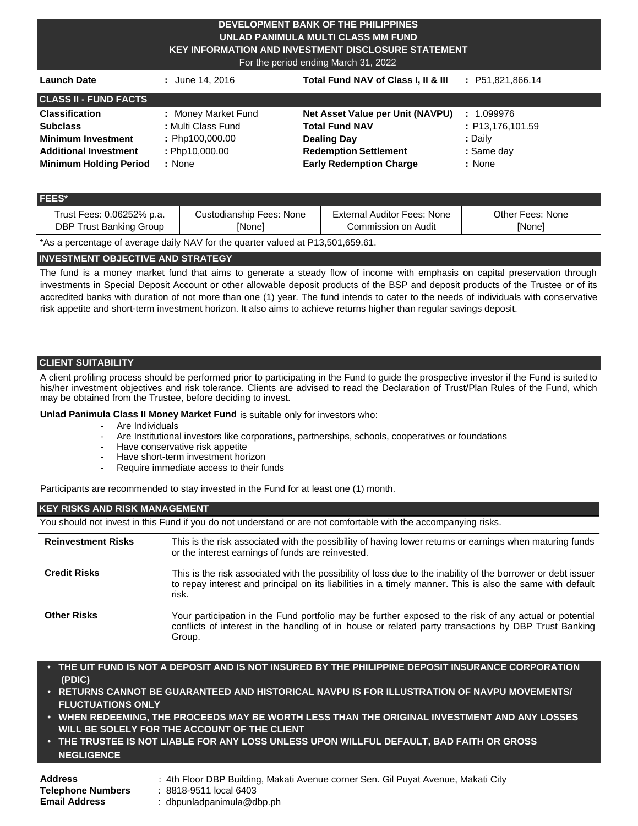#### **DEVELOPMENT BANK OF THE PHILIPPINES UNLAD PANIMULA MULTI CLASS MM FUND KEY INFORMATION AND INVESTMENT DISCLOSURE STATEMENT**

For the period ending March 31, 2022

| <b>Launch Date</b>            | : June 14, 2016     | Total Fund NAV of Class I, II & III | : P51,821,866.14          |
|-------------------------------|---------------------|-------------------------------------|---------------------------|
| <b>CLASS II - FUND FACTS</b>  |                     |                                     |                           |
| <b>Classification</b>         | : Money Market Fund | Net Asset Value per Unit (NAVPU)    | 1.099976<br>$\mathcal{L}$ |
| <b>Subclass</b>               | : Multi Class Fund  | <b>Total Fund NAV</b>               | : P13,176,101.59          |
| <b>Minimum Investment</b>     | : Php100,000.00     | <b>Dealing Day</b>                  | : Dailv                   |
| <b>Additional Investment</b>  | : Php10,000.00      | <b>Redemption Settlement</b>        | : Same day                |
| <b>Minimum Holding Period</b> | : None              | <b>Early Redemption Charge</b>      | : None                    |

#### **FEES\***

| Trust Fees: 0.06252% p.a. | Custodianship Fees: None | External Auditor Fees: None | Other Fees: None |
|---------------------------|--------------------------|-----------------------------|------------------|
| DBP Trust Banking Group   | [None]                   | Commission on Audit         | <b>INone</b>     |

\*As a percentage of average daily NAV for the quarter valued at P13,501,659.61.

## **INVESTMENT OBJECTIVE AND STRATEGY**

The fund is a money market fund that aims to generate a steady flow of income with emphasis on capital preservation through investments in Special Deposit Account or other allowable deposit products of the BSP and deposit products of the Trustee or of its accredited banks with duration of not more than one (1) year. The fund intends to cater to the needs of individuals with conservative risk appetite and short-term investment horizon. It also aims to achieve returns higher than regular savings deposit.

# **CLIENT SUITABILITY**

A client profiling process should be performed prior to participating in the Fund to guide the prospective investor if the Fund is suited to his/her investment objectives and risk tolerance. Clients are advised to read the Declaration of Trust/Plan Rules of the Fund, which may be obtained from the Trustee, before deciding to invest.

**Unlad Panimula Class II Money Market Fund** is suitable only for investors who:

- Are Individuals
- Are Institutional investors like corporations, partnerships, schools, cooperatives or foundations
- Have conservative risk appetite
- Have short-term investment horizon
- Require immediate access to their funds

Participants are recommended to stay invested in the Fund for at least one (1) month.

#### **KEY RISKS AND RISK MANAGEMENT**

You should not invest in this Fund if you do not understand or are not comfortable with the accompanying risks.

| <b>Reinvestment Risks</b> | This is the risk associated with the possibility of having lower returns or earnings when maturing funds<br>or the interest earnings of funds are reinvested.                                                                      |
|---------------------------|------------------------------------------------------------------------------------------------------------------------------------------------------------------------------------------------------------------------------------|
| <b>Credit Risks</b>       | This is the risk associated with the possibility of loss due to the inability of the borrower or debt issuer<br>to repay interest and principal on its liabilities in a timely manner. This is also the same with default<br>risk. |
| <b>Other Risks</b>        | Your participation in the Fund portfolio may be further exposed to the risk of any actual or potential<br>conflicts of interest in the handling of in house or related party transactions by DBP Trust Banking<br>Group.           |

- **• THE UIT FUND IS NOT A DEPOSIT AND IS NOT INSURED BY THE PHILIPPINE DEPOSIT INSURANCE CORPORATION (PDIC)**
- **• RETURNS CANNOT BE GUARANTEED AND HISTORICAL NAVPU IS FOR ILLUSTRATION OF NAVPU MOVEMENTS/ FLUCTUATIONS ONLY**
- **• WHEN REDEEMING, THE PROCEEDS MAY BE WORTH LESS THAN THE ORIGINAL INVESTMENT AND ANY LOSSES WILL BE SOLELY FOR THE ACCOUNT OF THE CLIENT**
- **• THE TRUSTEE IS NOT LIABLE FOR ANY LOSS UNLESS UPON WILLFUL DEFAULT, BAD FAITH OR GROSS NEGLIGENCE**

| <b>Address</b>           |
|--------------------------|
| <b>Telephone Numbers</b> |
| <b>Email Address</b>     |

- **Address** : 4th Floor DBP Building, Makati Avenue corner Sen. Gil Puyat Avenue, Makati City
- **Telephone Numbers** : 8818-9511 local 6403
- **Email Address** : [dbpunladpanimula@dbp.ph](mailto:dbpunladpanimula@dbp.ph)